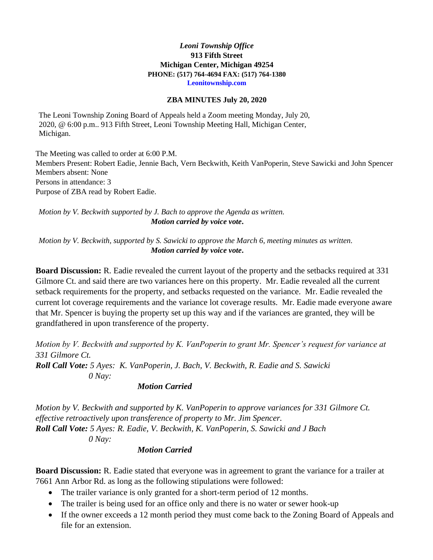## *Leoni Township Office* **913 Fifth Street Michigan Center, Michigan 49254 PHONE: (517) 764-4694 FAX: (517) 764-1380 Leonitownship.com**

## **ZBA MINUTES July 20, 2020**

The Leoni Township Zoning Board of Appeals held a Zoom meeting Monday, July 20, 2020, @ 6:00 p.m.. 913 Fifth Street, Leoni Township Meeting Hall, Michigan Center, Michigan.

The Meeting was called to order at 6:00 P.M. Members Present: Robert Eadie, Jennie Bach, Vern Beckwith, Keith VanPoperin, Steve Sawicki and John Spencer Members absent: None Persons in attendance: 3 Purpose of ZBA read by Robert Eadie.

*Motion by V. Beckwith supported by J. Bach to approve the Agenda as written. Motion carried by voice vote***.**

*Motion by V. Beckwith, supported by S. Sawicki to approve the March 6, meeting minutes as written. Motion carried by voice vote***.**

**Board Discussion:** R. Eadie revealed the current layout of the property and the setbacks required at 331 Gilmore Ct. and said there are two variances here on this property. Mr. Eadie revealed all the current setback requirements for the property, and setbacks requested on the variance. Mr. Eadie revealed the current lot coverage requirements and the variance lot coverage results. Mr. Eadie made everyone aware that Mr. Spencer is buying the property set up this way and if the variances are granted, they will be grandfathered in upon transference of the property.

*Motion by V. Beckwith and supported by K. VanPoperin to grant Mr. Spencer's request for variance at 331 Gilmore Ct. Roll Call Vote: 5 Ayes: K. VanPoperin, J. Bach, V. Beckwith, R. Eadie and S. Sawicki 0 Nay:* 

## *Motion Carried*

*Motion by V. Beckwith and supported by K. VanPoperin to approve variances for 331 Gilmore Ct. effective retroactively upon transference of property to Mr. Jim Spencer. Roll Call Vote: 5 Ayes: R. Eadie, V. Beckwith, K. VanPoperin, S. Sawicki and J Bach 0 Nay:* 

## *Motion Carried*

**Board Discussion:** R. Eadie stated that everyone was in agreement to grant the variance for a trailer at 7661 Ann Arbor Rd. as long as the following stipulations were followed:

- The trailer variance is only granted for a short-term period of 12 months.
- The trailer is being used for an office only and there is no water or sewer hook-up
- If the owner exceeds a 12 month period they must come back to the Zoning Board of Appeals and file for an extension.